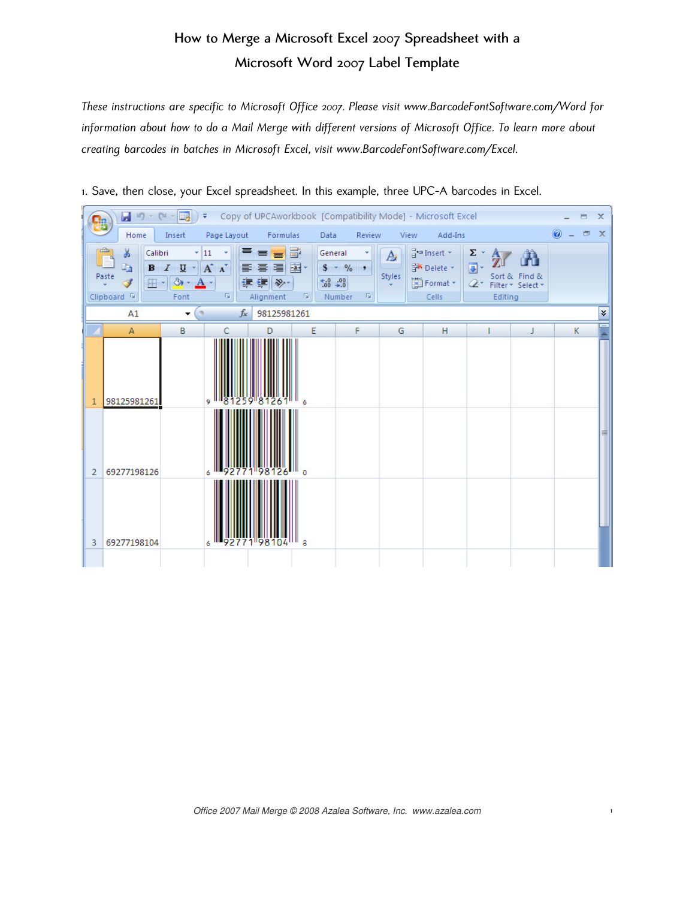## How to Merge a Microsoft Excel 2007 Spreadsheet with a Microsoft Word 2007 Label Template

These instructions are specific to Microsoft Office 2007. Please visit [www.BarcodeFontSoftware.com/Word](http://www.BarcodeFontSoftware.com/Word/) for information about how to do a Mail Merge with different versions of Microsoft Office. To learn more about creating barcodes in batches in Microsoft Excel, visit [www.BarcodeFontSoftware.com/Excel.](http://www.BarcodeFontSoftware.com/Excel/) 

| u<br>り・ロ・国<br>Copy of UPCAworkbook [Compatibility Mode] - Microsoft Excel<br>$\overline{ }$<br>$\propto$<br>▬<br>۵. |                                                                                 |                                                |                                                       |                                                                        |                                 |                                            |                               |                                                              |                                                 |                                    |   |        |              |
|---------------------------------------------------------------------------------------------------------------------|---------------------------------------------------------------------------------|------------------------------------------------|-------------------------------------------------------|------------------------------------------------------------------------|---------------------------------|--------------------------------------------|-------------------------------|--------------------------------------------------------------|-------------------------------------------------|------------------------------------|---|--------|--------------|
|                                                                                                                     | Home                                                                            | Insert                                         | Page Layout                                           | Formulas                                                               | Data                            | Review                                     | View                          | Add-Ins                                                      |                                                 |                                    |   | $\Box$ | $\mathbf{x}$ |
|                                                                                                                     | ¥<br>Calibri<br>h<br>$\mathbf{B}$<br>Paste<br>Î<br>또~<br>Clipboard <sup>5</sup> | $\overline{I}$<br>$u$<br>$\mathcal{D}$<br>Font | $-11$<br>٠<br>$A^A$<br>畐<br>$\overline{\mathbb{F}_2}$ | 冒<br>$\equiv$ $\equiv$ $\equiv$<br>들 글 철~<br>← 相談→<br>Alignment<br>- 6 | General<br>$3.4 \times 10^{-3}$ | ۰<br>$$ - \frac{9}{6}$ ,<br>Number<br>- 51 | $\mathbf{A}$<br><b>Styles</b> | $\frac{1}{2}$ Insert $\tau$<br>Delete *<br>Format *<br>Cells | $\Sigma$ -<br>同 -<br>$\mathcal{Q}^+$<br>Editing | Sort & Find &<br>Filter * Select * |   |        |              |
|                                                                                                                     | A1                                                                              | $\alpha$<br>$\blacktriangledown$               | $f_x$                                                 | 98125981261                                                            |                                 |                                            |                               |                                                              |                                                 |                                    |   |        | ¥            |
|                                                                                                                     | $\overline{A}$                                                                  | B                                              | C                                                     | D                                                                      | E                               | F                                          | G                             | н                                                            |                                                 | J                                  | K |        | ÷            |
| $\mathbf{1}$                                                                                                        | 98125981261                                                                     |                                                | ۱۱ و.                                                 | 81259 81261<br>6                                                       |                                 |                                            |                               |                                                              |                                                 |                                    |   |        |              |
| $\overline{2}$                                                                                                      | 69277198126                                                                     |                                                | 6 <sup>11</sup>                                       | $\Omega$                                                               |                                 |                                            |                               |                                                              |                                                 |                                    |   |        |              |
| 3                                                                                                                   | 69277198104                                                                     |                                                | 9277T<br>6                                            | "98104<br>8                                                            |                                 |                                            |                               |                                                              |                                                 |                                    |   |        |              |

1. Save, then close, your Excel spreadsheet. In this example, three UPC-A barcodes in Excel.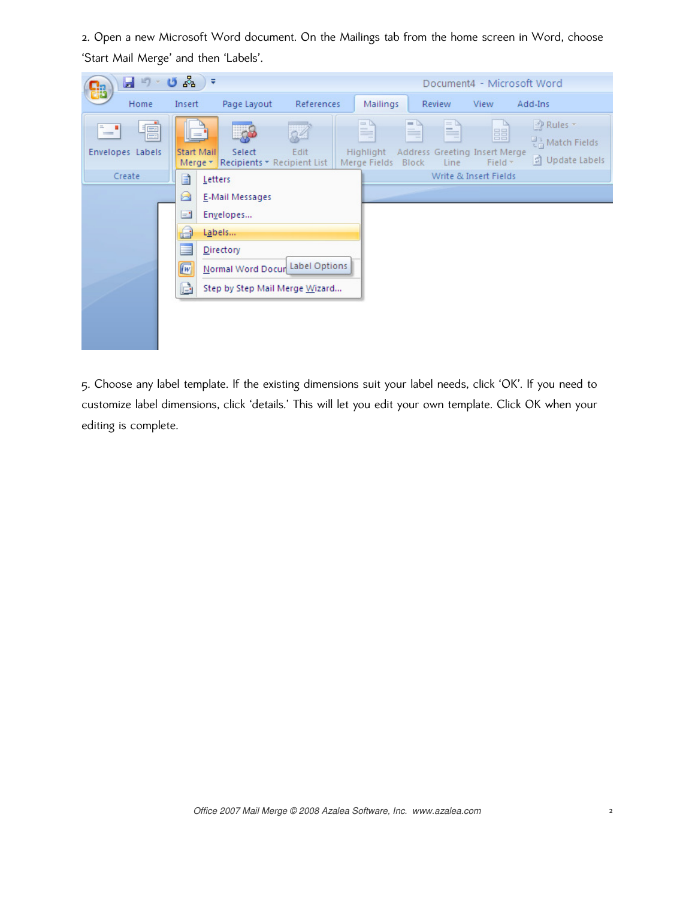2. Open a new Microsoft Word document. On the Mailings tab from the home screen in Word, choose 'Start Mail Merge' and then 'Labels'.



5. Choose any label template. If the existing dimensions suit your label needs, click 'OK'. If you need to customize label dimensions, click 'details.' This will let you edit your own template. Click OK when your editing is complete.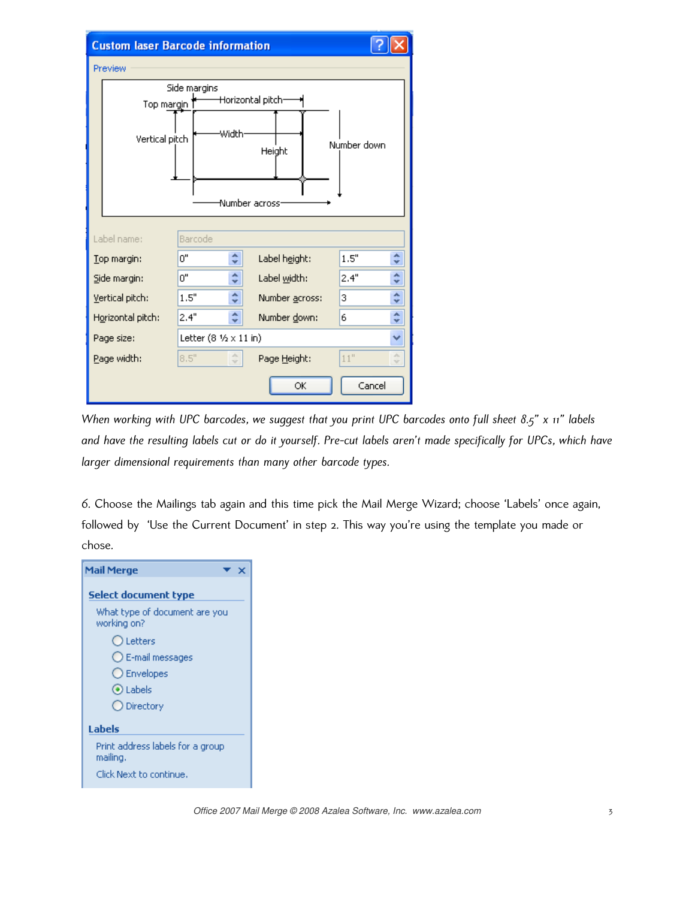| <b>Custom laser Barcode information</b> |                                                  |                                               |                            |                     |  |  |  |  |  |
|-----------------------------------------|--------------------------------------------------|-----------------------------------------------|----------------------------|---------------------|--|--|--|--|--|
| Preview                                 |                                                  |                                               |                            |                     |  |  |  |  |  |
|                                         | Side margins                                     |                                               |                            |                     |  |  |  |  |  |
|                                         | Horizontal pitch-<br>Top margin 1                |                                               |                            |                     |  |  |  |  |  |
|                                         | Width<br>Vertical pitch<br>Number down<br>Height |                                               |                            |                     |  |  |  |  |  |
|                                         |                                                  |                                               | Number across <sup>.</sup> |                     |  |  |  |  |  |
| Label name:                             |                                                  | Barcode                                       |                            |                     |  |  |  |  |  |
| Top margin:                             | 0"                                               | ۸<br>v                                        | Label height:              | ۸<br>1.5"<br>v      |  |  |  |  |  |
| Side margin:                            | ο"                                               | ۰<br>v                                        | Label width:               | ۰<br>2.4"<br>v      |  |  |  |  |  |
| Vertical pitch:                         | 1.5"                                             | ۰<br>÷                                        | Number across:             | ۰<br>3<br>v         |  |  |  |  |  |
| Horizontal pitch:                       | 2.4"                                             | ۰<br>v                                        | Number down:               | ۸<br>6<br>v         |  |  |  |  |  |
| Page size:                              |                                                  | Letter $(8 \frac{1}{2} \times 11 \text{ in})$ |                            |                     |  |  |  |  |  |
| Page width:                             | 8.5"                                             | $\hat{\mathcal{L}}$                           | Page Height:               | 11"<br>×.<br>$\sim$ |  |  |  |  |  |
| Cancel<br>ОК                            |                                                  |                                               |                            |                     |  |  |  |  |  |

When working with UPC barcodes, we suggest that you print UPC barcodes onto full sheet 8.5" x 11" labels and have the resulting labels cut or do it yourself. Pre-cut labels aren't made specifically for UPCs, which have larger dimensional requirements than many other barcode types.

6. Choose the Mailings tab again and this time pick the Mail Merge Wizard; choose 'Labels' once again, followed by 'Use the Current Document' in step 2. This way you're using the template you made or chose.

| <b>Mail Merge</b>                            |  |  |  |  |  |  |  |  |
|----------------------------------------------|--|--|--|--|--|--|--|--|
| <b>Select document type</b>                  |  |  |  |  |  |  |  |  |
| What type of document are you<br>working on? |  |  |  |  |  |  |  |  |
| O Letters                                    |  |  |  |  |  |  |  |  |
| $\bigcirc$ E-mail messages                   |  |  |  |  |  |  |  |  |
| ◯ Envelopes                                  |  |  |  |  |  |  |  |  |
| O Labels                                     |  |  |  |  |  |  |  |  |
| O Directory                                  |  |  |  |  |  |  |  |  |
| Labels                                       |  |  |  |  |  |  |  |  |
| Print address labels for a group<br>mailing. |  |  |  |  |  |  |  |  |
| Click Next to continue.                      |  |  |  |  |  |  |  |  |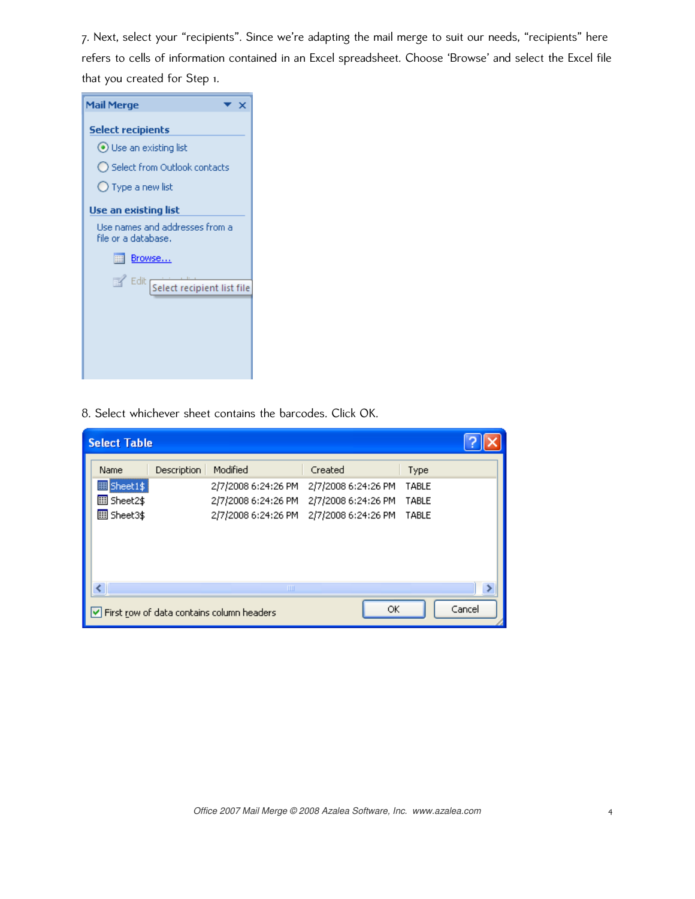7. Next, select your "recipients". Since we're adapting the mail merge to suit our needs, "recipients" here refers to cells of information contained in an Excel spreadsheet. Choose 'Browse' and select the Excel file that you created for Step 1.



8. Select whichever sheet contains the barcodes. Click OK.

| <b>Select Table</b>                                       |             |                     |                     |       |  |  |  |
|-----------------------------------------------------------|-------------|---------------------|---------------------|-------|--|--|--|
| Name                                                      | Description | Modified            | Created             | Type  |  |  |  |
| <b>ED</b> Sheet1\$                                        |             | 2/7/2008 6:24:26 PM | 2/7/2008 6:24:26 PM | TABLE |  |  |  |
| <b>图</b> Sheet2\$                                         |             | 2/7/2008 6:24:26 PM | 2/7/2008 6:24:26 PM | TABLE |  |  |  |
| 圖 Sheet3\$                                                |             | 2/7/2008 6:24:26 PM | 2/7/2008 6:24:26 PM | TABLE |  |  |  |
|                                                           |             |                     |                     |       |  |  |  |
|                                                           |             | ШI                  |                     |       |  |  |  |
| Cancel<br>ОК<br>First row of data contains column headers |             |                     |                     |       |  |  |  |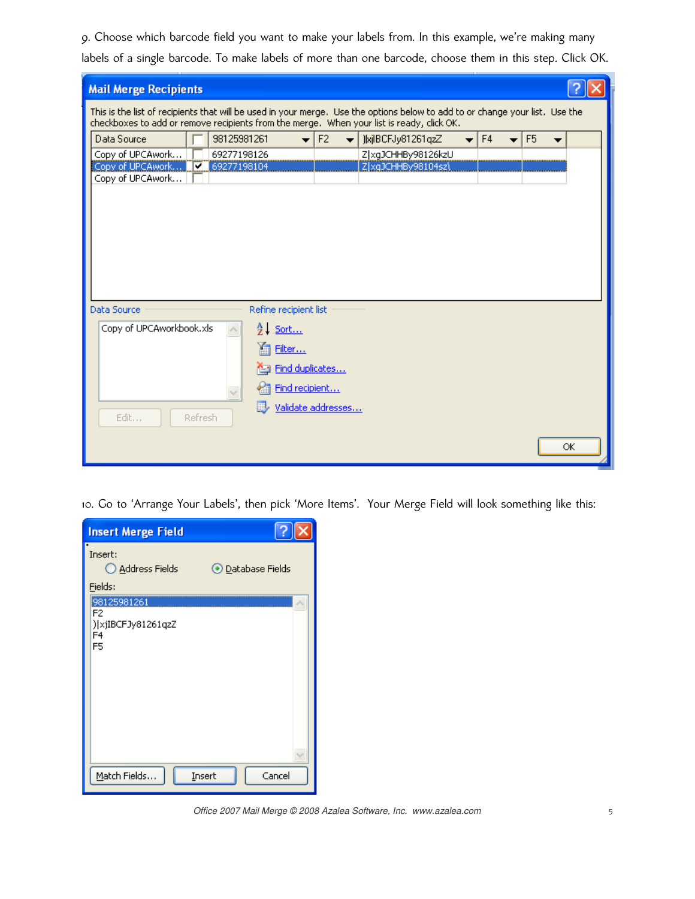9. Choose which barcode field you want to make your labels from. In this example, we're making many labels of a single barcode. To make labels of more than one barcode, choose them in this step. Click OK.

| <b>Mail Merge Recipients</b>                                                                                                                                                                                              |                                   |  |                    |  |  |  |    |  |
|---------------------------------------------------------------------------------------------------------------------------------------------------------------------------------------------------------------------------|-----------------------------------|--|--------------------|--|--|--|----|--|
| This is the list of recipients that will be used in your merge. Use the options below to add to or change your list. Use the<br>checkboxes to add or remove recipients from the merge. When your list is ready, click OK. |                                   |  |                    |  |  |  |    |  |
| F4<br>F <sub>5</sub><br>Data Source<br>98125981261<br>F <sub>2</sub><br>JkjlBCFJy81261qzZ<br>$\overline{\phantom{a}}$<br>$\overline{\phantom{a}}$                                                                         |                                   |  |                    |  |  |  |    |  |
| Copy of UPCAwork                                                                                                                                                                                                          | 69277198126<br>Z xgJCHHBy98126kzU |  |                    |  |  |  |    |  |
| Copy of UPCAwork<br>69277198104<br>ᢦ                                                                                                                                                                                      |                                   |  | Z xqJCHHBy98104sz\ |  |  |  |    |  |
| Copy of UPCAwork                                                                                                                                                                                                          |                                   |  |                    |  |  |  |    |  |
|                                                                                                                                                                                                                           |                                   |  |                    |  |  |  |    |  |
|                                                                                                                                                                                                                           |                                   |  |                    |  |  |  |    |  |
|                                                                                                                                                                                                                           |                                   |  |                    |  |  |  |    |  |
|                                                                                                                                                                                                                           |                                   |  |                    |  |  |  |    |  |
|                                                                                                                                                                                                                           |                                   |  |                    |  |  |  |    |  |
|                                                                                                                                                                                                                           |                                   |  |                    |  |  |  |    |  |
|                                                                                                                                                                                                                           |                                   |  |                    |  |  |  |    |  |
| Data Source                                                                                                                                                                                                               | Refine recipient list             |  |                    |  |  |  |    |  |
| Copy of UPCAworkbook.xls                                                                                                                                                                                                  | e↓ Sort                           |  |                    |  |  |  |    |  |
|                                                                                                                                                                                                                           | Filter                            |  |                    |  |  |  |    |  |
|                                                                                                                                                                                                                           |                                   |  |                    |  |  |  |    |  |
|                                                                                                                                                                                                                           | Find duplicates                   |  |                    |  |  |  |    |  |
|                                                                                                                                                                                                                           | Find recipient                    |  |                    |  |  |  |    |  |
|                                                                                                                                                                                                                           | Validate addresses                |  |                    |  |  |  |    |  |
| Edit<br>Refresh                                                                                                                                                                                                           |                                   |  |                    |  |  |  |    |  |
|                                                                                                                                                                                                                           |                                   |  |                    |  |  |  |    |  |
|                                                                                                                                                                                                                           |                                   |  |                    |  |  |  | ОК |  |

10. Go to 'Arrange Your Labels', then pick 'More Items'. Your Merge Field will look something like this:

| <b>Insert Merge Field</b>                                       |                          |
|-----------------------------------------------------------------|--------------------------|
| Insert:<br>Address Fields<br>Fields:                            | <b>O</b> Database Fields |
| 98125981261<br>F2<br>) xjIBCFJy81261qzZ<br>F4<br>F <sub>5</sub> |                          |
| Match Fields                                                    | Cancel<br>Insert         |

Office 2007 Mail Merge © 2008 Azalea Software, Inc. www.azalea.com 5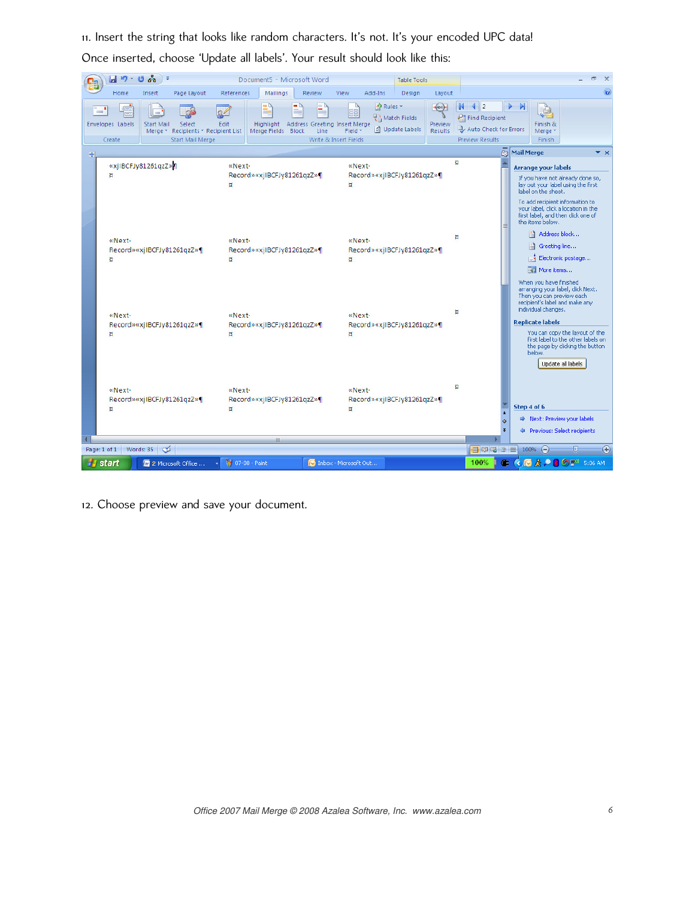11. Insert the string that looks like random characters. It's not. It's your encoded UPC data! Once inserted, choose 'Update all labels'. Your result should look like this:

|     | 츟<br>目り・じ<br>$\rightarrow$                                                                                                                                                           | Document5 - Microsoft Word                                                                                                          |                                                                                                                                                                           | <b>Table Tools</b>                                             |                                                                                                             | $\mathbf{x}$<br>п                                                                                                                                                                                                                                                                                                                                                                                                                                                                                                                                                                                                                                                                                                              |
|-----|--------------------------------------------------------------------------------------------------------------------------------------------------------------------------------------|-------------------------------------------------------------------------------------------------------------------------------------|---------------------------------------------------------------------------------------------------------------------------------------------------------------------------|----------------------------------------------------------------|-------------------------------------------------------------------------------------------------------------|--------------------------------------------------------------------------------------------------------------------------------------------------------------------------------------------------------------------------------------------------------------------------------------------------------------------------------------------------------------------------------------------------------------------------------------------------------------------------------------------------------------------------------------------------------------------------------------------------------------------------------------------------------------------------------------------------------------------------------|
|     | Home<br>Page Layout<br>Insert<br>Q<br>$\qquad \qquad =$<br>÷<br>Envelopes Labels<br><b>Start Mail</b><br>Select<br>Merge * Recipients * Recipient List<br>Start Mail Merge<br>Create | References<br>Mailings<br>E)<br>Edit<br>Highlight<br>Merge Fields Block                                                             | Review<br>View<br>Add-Ins<br>PRules <sup>*</sup><br>胃目<br>무금 Match Fields<br>Address Greeting Insert Merge<br>引 Update Labels<br>Line<br>Field *<br>Write & Insert Fields | Design<br>Layout<br><b>GALLOW</b><br>Preview<br><b>Results</b> | $\mathbb N$<br>$\frac{4}{2}$<br><b>Pa</b> Find Recipient<br>Auto Check for Errors<br><b>Preview Results</b> | $\bullet$<br>M<br>IŞ.<br>Finish &<br>Merge *<br>Finish                                                                                                                                                                                                                                                                                                                                                                                                                                                                                                                                                                                                                                                                         |
| $+$ | «xjlBCFJy81261qzZ»<br>и<br>«Next-<br>Record»«xjIBCFJy81261qzZ»¶<br>u<br>«Next-<br>Record»«xjIBCFJy81261qzZ»¶<br>Ħ                                                                    | «Next-<br>Record»«xjIBCFJy81261qzZ»¶<br>u<br>«Next-<br>Record»«xjIBCFJy81261qzZ»¶<br>u<br>«Next-<br>Record»«xjIBCFJy81261qzZ»¶<br>u | «Next-<br>Record»«xjIBCFJy81261qzZ»¶<br>«Next-<br>Record»«xjIBCFJy81261qzZ»¶<br>u<br>«Next-<br>Record»«xjIBCFJy81261qzZ»¶<br>u                                            | ы<br>п<br>۵<br>u                                               |                                                                                                             | <b>Za Mail Merge</b><br>$\mathbf{v} \times$<br><b>Arrange your labels</b><br>If you have not already done so,<br>lay out your label using the first<br>label on the sheet.<br>To add recipient information to<br>your label, click a location in the<br>first label, and then click one of<br>the items below.<br>Address block<br>n<br>B<br>Greeting line<br>Electronic postage<br>ьŧ<br>More items<br>When you have finished<br>arranging your label, click Next.<br>Then you can preview each<br>recipient's label and make any<br>individual changes.<br><b>Replicate labels</b><br>You can copy the layout of the<br>first label to the other labels on<br>the page by clicking the button<br>below.<br>Update all labels |
|     | «Next-<br>Record»«xjIBCFJy81261qzZ»¶<br>u                                                                                                                                            | «Next-<br>Record»«xjIBCFJy81261qzZ»¶<br>u                                                                                           | «Next-<br>Record»«xjIBCFJy81261qzZ»¶<br>u                                                                                                                                 |                                                                | $\star$<br>$\circ$<br>Ŧ                                                                                     | Step 4 of 6<br>Next: Preview your labels<br>Previous: Select recipients                                                                                                                                                                                                                                                                                                                                                                                                                                                                                                                                                                                                                                                        |
|     | Page: 1 of 1 Words: 35 $\leq$                                                                                                                                                        |                                                                                                                                     |                                                                                                                                                                           |                                                                | 日印日语目                                                                                                       | $\overline{v}$<br>Ð<br>$100% (-)$                                                                                                                                                                                                                                                                                                                                                                                                                                                                                                                                                                                                                                                                                              |
|     | <b>H</b> start<br>10 2 Microsoft Office                                                                                                                                              | 100%<br>Œ.<br>$\alpha$                                                                                                              | <b>◎ &amp; ● ■ ◎ ■</b> 5:06 AM                                                                                                                                            |                                                                |                                                                                                             |                                                                                                                                                                                                                                                                                                                                                                                                                                                                                                                                                                                                                                                                                                                                |

12. Choose preview and save your document.